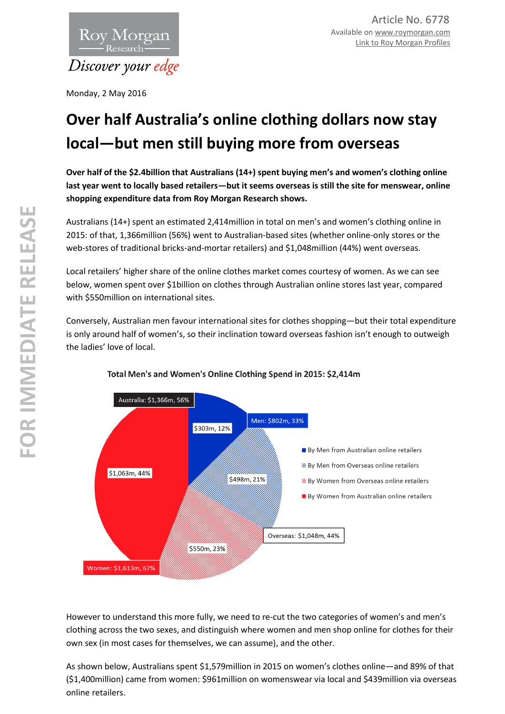

Monday, 2 May 2016

# **Over half Australia's online clothing dollars now stay local—but men still buying more from overseas**

**Over half of the \$2.4billion that Australians (14+) spent buying men's and women's clothing online last year went to locally based retailers—but it seems overseas is still the site for menswear, online shopping expenditure data from Roy Morgan Research shows.** 

Australians (14+) spent an estimated 2,414million in total on men's and women's clothing online in 2015: of that, 1,366million (56%) went to Australian-based sites (whether online-only stores or the web-stores of traditional bricks-and-mortar retailers) and \$1,048million (44%) went overseas.

Local retailers' higher share of the online clothes market comes courtesy of women. As we can see below, women spent over \$1billion on clothes through Australian online stores last year, compared with \$550million on international sites.

Conversely, Australian men favour international sites for clothes shopping—but their total expenditure is only around half of women's, so their inclination toward overseas fashion isn't enough to outweigh the ladies' love of local.



## Total Men's and Women's Online Clothing Spend in 2015: \$2,414m

However to understand this more fully, we need to re-cut the two categories of women's and men's clothing across the two sexes, and distinguish where women and men shop online for clothes for their own sex (in most cases for themselves, we can assume), and the other.

As shown below, Australians spent \$1,579million in 2015 on women's clothes online—and 89% of that (\$1,400million) came from women: \$961million on womenswear via local and \$439million via overseas online retailers.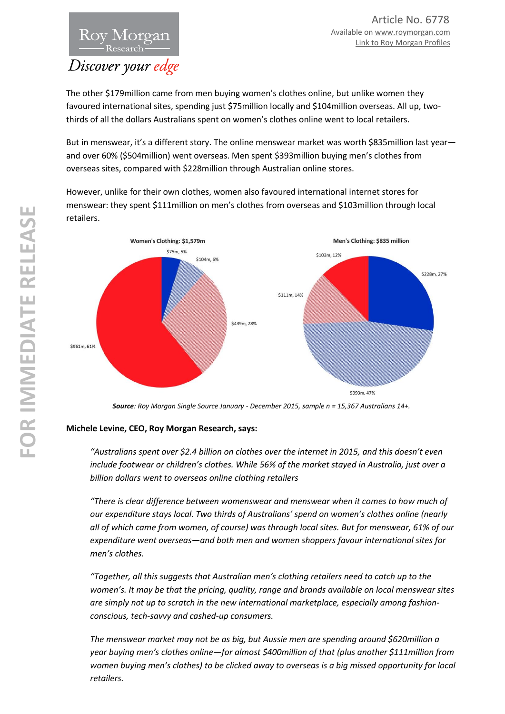

The other \$179million came from men buying women's clothes online, but unlike women they favoured international sites, spending just \$75million locally and \$104million overseas. All up, twothirds of all the dollars Australians spent on women's clothes online went to local retailers.

But in menswear, it's a different story. The online menswear market was worth \$835million last yearand over 60% (\$504million) went overseas. Men spent \$393million buying men's clothes from overseas sites, compared with \$228million through Australian online stores.

However, unlike for their own clothes, women also favoured international internet stores for menswear: they spent \$111million on men's clothes from overseas and \$103million through local retailers.



*Source: Roy Morgan Single Source January - December 2015, sample n = 15,367 Australians 14+.* 

## **Michele Levine, CEO, Roy Morgan Research, says:**

*"Australians spent over \$2.4 billion on clothes over the internet in 2015, and this doesn't even include footwear or children's clothes. While 56% of the market stayed in Australia, just over a billion dollars went to overseas online clothing retailers*

*"There is clear difference between womenswear and menswear when it comes to how much of our expenditure stays local. Two thirds of Australians' spend on women's clothes online (nearly all of which came from women, of course) was through local sites. But for menswear, 61% of our expenditure went overseas—and both men and women shoppers favour international sites for men's clothes.* 

*"Together, all this suggests that Australian men's clothing retailers need to catch up to the women's. It may be that the pricing, quality, range and brands available on local menswear sites are simply not up to scratch in the new international marketplace, especially among fashionconscious, tech-savvy and cashed-up consumers.* 

*The menswear market may not be as big, but Aussie men are spending around \$620million a year buying men's clothes online—for almost \$400million of that (plus another \$111million from women buying men's clothes) to be clicked away to overseas is a big missed opportunity for local retailers.*